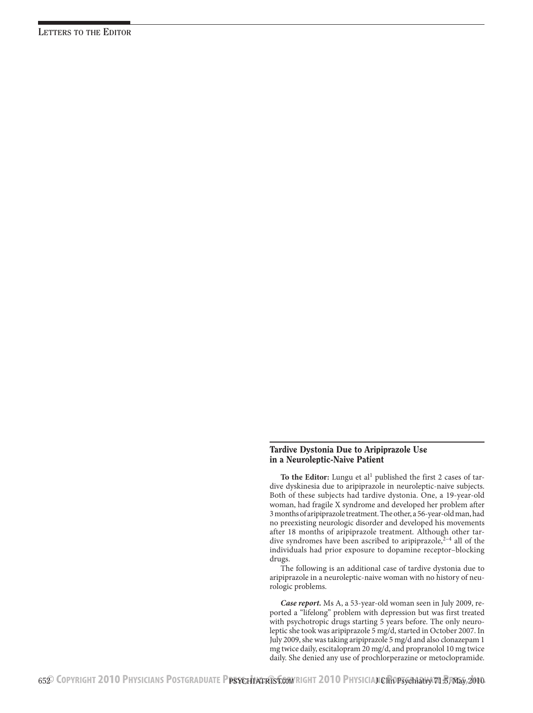## Tardive Dystonia Due to Aripiprazole Use in a Neuroleptic-Naive Patient

To the Editor: Lungu et al<sup>1</sup> published the first 2 cases of tardive dyskinesia due to aripiprazole in neuroleptic-naive subjects. Both of these subjects had tardive dystonia. One, a 19-year-old woman, had fragile X syndrome and developed her problem after 3 months of aripiprazole treatment. The other, a 56-year-old man, had no preexisting neurologic disorder and developed his movements after 18 months of aripiprazole treatment. Although other tardive syndromes have been ascribed to aripiprazole,  $2-4$  all of the individuals had prior exposure to dopamine receptor–blocking drugs.

The following is an additional case of tardive dystonia due to aripiprazole in a neuroleptic-naive woman with no history of neurologic problems.

*Case report.* Ms A, a 53-year-old woman seen in July 2009, reported a "lifelong" problem with depression but was first treated with psychotropic drugs starting 5 years before. The only neuroleptic she took was aripiprazole 5 mg/d, started in October 2007. In July 2009, she was taking aripiprazole 5 mg/d and also clonazepam 1 mg twice daily, escitalopram 20 mg/d, and propranolol 10 mg twice daily. She denied any use of prochlorperazine or metoclopramide.